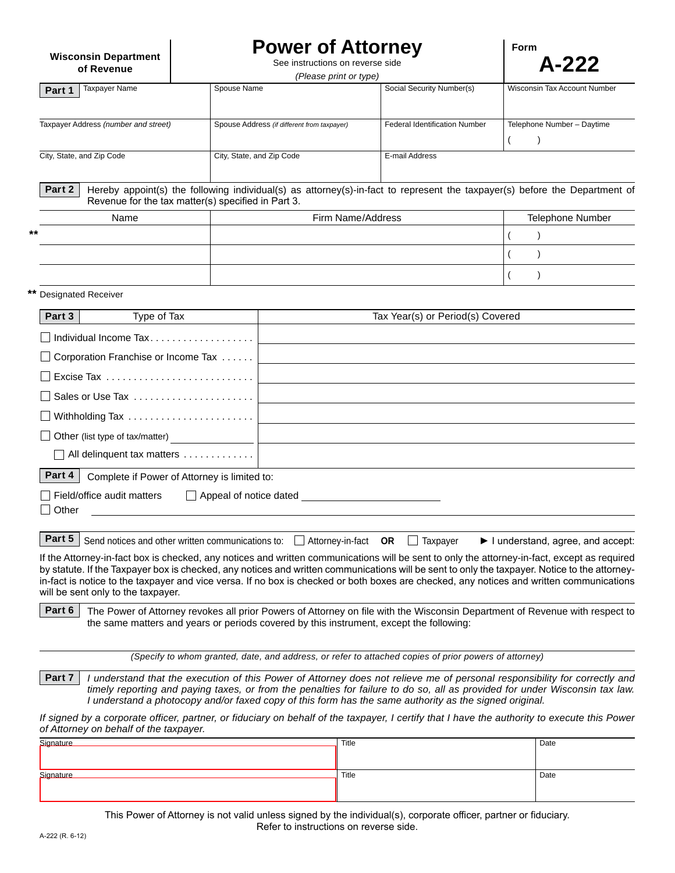**Power of Attorney**

**Form**

| <b>Wisconsin Department</b><br>of Revenue                    |                           | <b>FUWEI UI ALLUITIEY</b><br>See instructions on reverse side<br>(Please print or type) |                                      | <b>LOUIL</b><br>$A-222$                                                                                                    |  |
|--------------------------------------------------------------|---------------------------|-----------------------------------------------------------------------------------------|--------------------------------------|----------------------------------------------------------------------------------------------------------------------------|--|
| <b>Taxpayer Name</b><br>Part 1                               | Spouse Name               |                                                                                         | Social Security Number(s)            | Wisconsin Tax Account Number                                                                                               |  |
| Taxpayer Address (number and street)                         |                           | Spouse Address (if different from taxpayer)                                             | <b>Federal Identification Number</b> | Telephone Number - Daytime<br>$\lambda$                                                                                    |  |
| City, State, and Zip Code                                    | City, State, and Zip Code |                                                                                         | E-mail Address                       |                                                                                                                            |  |
| Part 2<br>Revenue for the tax matter(s) specified in Part 3. |                           |                                                                                         |                                      | Hereby appoint(s) the following individual(s) as attorney(s)-in-fact to represent the taxpayer(s) before the Department of |  |
| Name                                                         |                           |                                                                                         | Firm Name/Address                    |                                                                                                                            |  |
|                                                              |                           |                                                                                         |                                      |                                                                                                                            |  |
|                                                              |                           |                                                                                         |                                      |                                                                                                                            |  |
|                                                              |                           |                                                                                         |                                      |                                                                                                                            |  |
| <b>Designated Receiver</b>                                   |                           |                                                                                         |                                      |                                                                                                                            |  |
| Type of Tax<br>Part 3                                        |                           |                                                                                         | Tax Year(s) or Period(s) Covered     |                                                                                                                            |  |
|                                                              |                           |                                                                                         |                                      |                                                                                                                            |  |
| Corporation Franchise or Income Tax                          |                           |                                                                                         |                                      |                                                                                                                            |  |
|                                                              |                           |                                                                                         |                                      |                                                                                                                            |  |
| Sales or Use Tax                                             |                           |                                                                                         |                                      |                                                                                                                            |  |
|                                                              |                           |                                                                                         |                                      |                                                                                                                            |  |
|                                                              |                           |                                                                                         |                                      |                                                                                                                            |  |
| All delinquent tax matters                                   |                           |                                                                                         |                                      |                                                                                                                            |  |
| Part 4<br>Complete if Power of Attorney is limited to:       |                           |                                                                                         |                                      |                                                                                                                            |  |
| Field/office audit matters                                   | Appeal of notice dated    |                                                                                         |                                      |                                                                                                                            |  |

□ Other

Send notices and other written communications to:  $\Box$  Attorney-in-fact **OR**  $\Box$  Taxpayer ► I understand, agree, and accept: **Part 5**

 $\overline{1}$ 

If the Attorney-in-fact box is checked, any notices and written communications will be sent to only the attorney-in-fact, except as required by statute. If the Taxpayer box is checked, any notices and written communications will be sent to only the taxpayer. Notice to the attorneyin-fact is notice to the taxpayer and vice versa. If no box is checked or both boxes are checked, any notices and written communications will be sent only to the taxpayer.

**Part 6** The Power of Attorney revokes all prior Powers of Attorney on file with the Wisconsin Department of Revenue with respect to the same matters and years or periods covered by this instrument, except the following:

*(Specify to whom granted, date, and address, or refer to attached copies of prior powers of attorney)*

*I understand that the execution of this Power of Attorney does not relieve me of personal responsibility for correctly and timely reporting and paying taxes, or from the penalties for failure to do so, all as provided for under Wisconsin tax law. I understand a photocopy and/or faxed copy of this form has the same authority as the signed original.* **Part 7**

*If signed by a corporate officer, partner, or fiduciary on behalf of the taxpayer, I certify that I have the authority to execute this Power of Attorney on behalf of the taxpayer.*

| Signature | Title | Date |
|-----------|-------|------|
|           |       |      |
|           |       |      |
| Signature | Title | Date |
|           |       |      |
|           |       |      |

This Power of Attorney is not valid unless signed by the individual(s), corporate officer, partner or fiduciary. Refer to instructions on reverse side.